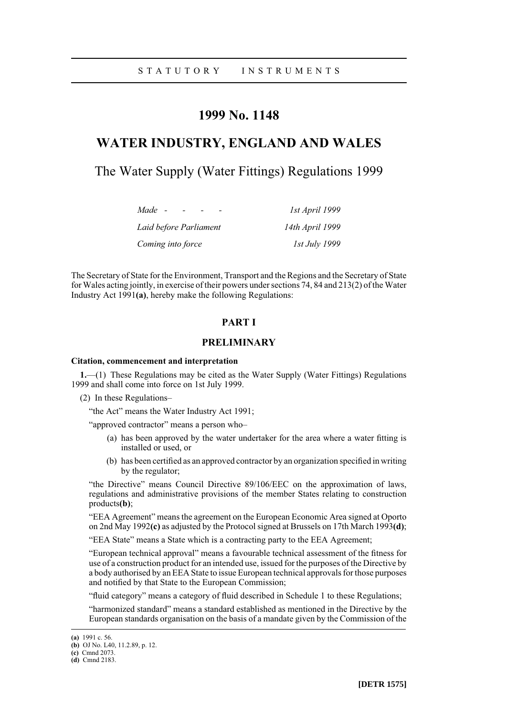# **1999 No. 1148**

# **WATER INDUSTRY, ENGLAND AND WALES**

The Water Supply (Water Fittings) Regulations 1999

| Made -                 | 1st April 1999         |
|------------------------|------------------------|
| Laid before Parliament | <i>14th April 1999</i> |
| Coming into force      | <i>Ist July 1999</i>   |

The Secretary of State for the Environment, Transport and the Regions and the Secretary of State for Wales acting jointly, in exercise of their powers under sections 74, 84 and 213(2) of the Water Industry Act 1991**(a)**, hereby make the following Regulations:

## **PART I**

## **PRELIMINARY**

#### **Citation, commencement and interpretation**

**1.**—(1) These Regulations may be cited as the Water Supply (Water Fittings) Regulations 1999 and shall come into force on 1st July 1999.

(2) In these Regulations–

"the Act" means the Water Industry Act 1991;

"approved contractor" means a person who–

- (a) has been approved by the water undertaker for the area where a water fitting is installed or used, or
- (b) has been certified as an approved contractor by an organization specified in writing by the regulator;

"the Directive" means Council Directive 89/106/EEC on the approximation of laws, regulations and administrative provisions of the member States relating to construction products**(b)**;

"EEA Agreement" means the agreement on the European Economic Area signed at Oporto on 2nd May 1992**(c)** as adjusted by the Protocol signed at Brussels on 17th March 1993**(d)**;

"EEA State" means a State which is a contracting party to the EEA Agreement;

"European technical approval" means a favourable technical assessment of the fitness for use of a construction product for an intended use, issued for the purposes of the Directive by a body authorised by an EEA State to issue European technical approvals for those purposes and notified by that State to the European Commission;

"fluid category" means a category of fluid described in Schedule 1 to these Regulations;

"harmonized standard" means a standard established as mentioned in the Directive by the European standards organisation on the basis of a mandate given by the Commission of the

**<sup>(</sup>a)** 1991 c. 56.

**<sup>(</sup>b)** OJ No. L40, 11.2.89, p. 12.

**<sup>(</sup>c)** Cmnd 2073.

**<sup>(</sup>d)** Cmnd 2183.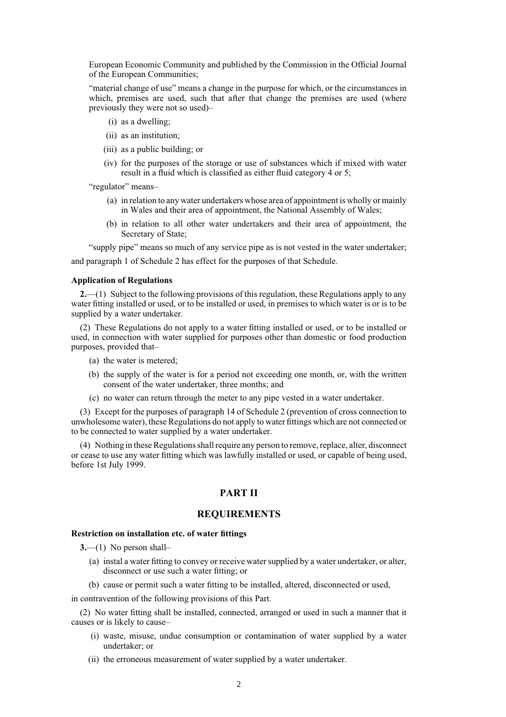European Economic Community and published by the Commission in the Official Journal of the European Communities;

"material change of use" means a change in the purpose for which, or the circumstances in which, premises are used, such that after that change the premises are used (where previously they were not so used)–

- (i) as a dwelling;
- (ii) as an institution;
- (iii) as a public building; or
- (iv) for the purposes of the storage or use of substances which if mixed with water result in a fluid which is classified as either fluid category 4 or 5;

"regulator" means–

- (a) in relation to any water undertakers whose area of appointment is wholly or mainly in Wales and their area of appointment, the National Assembly of Wales;
- (b) in relation to all other water undertakers and their area of appointment, the Secretary of State;

"supply pipe" means so much of any service pipe as is not vested in the water undertaker;

and paragraph 1 of Schedule 2 has effect for the purposes of that Schedule.

#### **Application of Regulations**

**2.**—(1) Subject to the following provisions of this regulation, these Regulations apply to any water fitting installed or used, or to be installed or used, in premises to which water is or is to be supplied by a water undertaker.

(2) These Regulations do not apply to a water fitting installed or used, or to be installed or used, in connection with water supplied for purposes other than domestic or food production purposes, provided that–

- (a) the water is metered;
- (b) the supply of the water is for a period not exceeding one month, or, with the written consent of the water undertaker, three months; and
- (c) no water can return through the meter to any pipe vested in a water undertaker.

(3) Except for the purposes of paragraph 14 of Schedule 2 (prevention of cross connection to unwholesome water), these Regulations do not apply to water fittings which are not connected or to be connected to water supplied by a water undertaker.

(4) Nothing in these Regulations shall require any person to remove, replace, alter, disconnect or cease to use any water fitting which was lawfully installed or used, or capable of being used, before 1st July 1999.

### **PART II**

#### **REQUIREMENTS**

#### **Restriction on installation etc. of water fittings**

**3.**—(1) No person shall–

- (a) instal a water fitting to convey or receive water supplied by a water undertaker, or alter, disconnect or use such a water fitting; or
- (b) cause or permit such a water fitting to be installed, altered, disconnected or used,

in contravention of the following provisions of this Part.

(2) No water fitting shall be installed, connected, arranged or used in such a manner that it causes or is likely to cause–

- (i) waste, misuse, undue consumption or contamination of water supplied by a water undertaker; or
- (ii) the erroneous measurement of water supplied by a water undertaker.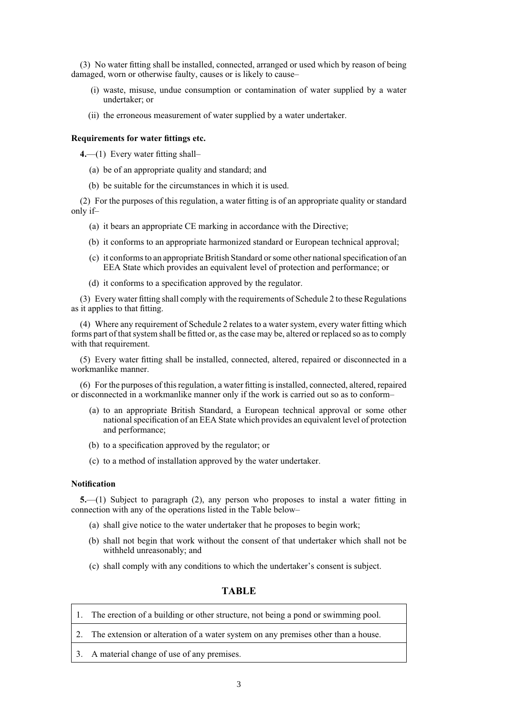(3) No water fitting shall be installed, connected, arranged or used which by reason of being damaged, worn or otherwise faulty, causes or is likely to cause–

- (i) waste, misuse, undue consumption or contamination of water supplied by a water undertaker; or
- (ii) the erroneous measurement of water supplied by a water undertaker.

#### **Requirements for water fittings etc.**

**4.**—(1) Every water fitting shall–

- (a) be of an appropriate quality and standard; and
- (b) be suitable for the circumstances in which it is used.

(2) For the purposes of this regulation, a water fitting is of an appropriate quality or standard only if–

- (a) it bears an appropriate CE marking in accordance with the Directive;
- (b) it conforms to an appropriate harmonized standard or European technical approval;
- (c) it conforms to an appropriate British Standard or some other national specification of an EEA State which provides an equivalent level of protection and performance; or
- (d) it conforms to a specification approved by the regulator.

(3) Every water fitting shall comply with the requirements of Schedule 2 to these Regulations as it applies to that fitting.

(4) Where any requirement of Schedule 2 relates to a water system, every water fitting which forms part of that system shall be fitted or, as the case may be, altered or replaced so as to comply with that requirement.

(5) Every water fitting shall be installed, connected, altered, repaired or disconnected in a workmanlike manner.

(6) For the purposes of this regulation, a water fitting is installed, connected, altered, repaired or disconnected in a workmanlike manner only if the work is carried out so as to conform–

- (a) to an appropriate British Standard, a European technical approval or some other national specification of an EEA State which provides an equivalent level of protection and performance;
- (b) to a specification approved by the regulator; or
- (c) to a method of installation approved by the water undertaker.

## **Notification**

**5.**—(1) Subject to paragraph (2), any person who proposes to instal a water fitting in connection with any of the operations listed in the Table below–

- (a) shall give notice to the water undertaker that he proposes to begin work;
- (b) shall not begin that work without the consent of that undertaker which shall not be withheld unreasonably; and
- (c) shall comply with any conditions to which the undertaker's consent is subject.

## **TABLE**

| 1. The erection of a building or other structure, not being a pond or swimming pool. |
|--------------------------------------------------------------------------------------|
| 2. The extension or alteration of a water system on any premises other than a house. |
|                                                                                      |

3. A material change of use of any premises.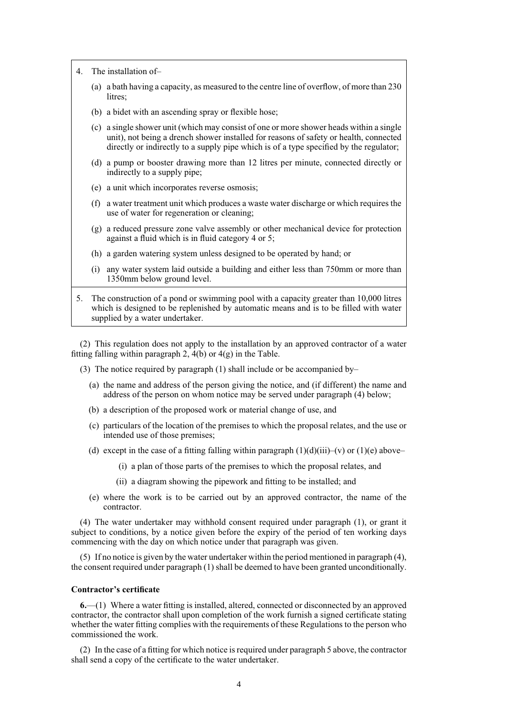- 4. The installation of–
	- (a) a bath having a capacity, as measured to the centre line of overflow, of more than 230 litres;
	- (b) a bidet with an ascending spray or flexible hose;
	- (c) a single shower unit (which may consist of one or more shower heads within a single unit), not being a drench shower installed for reasons of safety or health, connected directly or indirectly to a supply pipe which is of a type specified by the regulator;
	- (d) a pump or booster drawing more than 12 litres per minute, connected directly or indirectly to a supply pipe;
	- (e) a unit which incorporates reverse osmosis;
	- (f) a water treatment unit which produces a waste water discharge or which requires the use of water for regeneration or cleaning;
	- (g) a reduced pressure zone valve assembly or other mechanical device for protection against a fluid which is in fluid category 4 or 5;
	- (h) a garden watering system unless designed to be operated by hand; or
	- (i) any water system laid outside a building and either less than 750mm or more than 1350mm below ground level.
- 5. The construction of a pond or swimming pool with a capacity greater than 10,000 litres which is designed to be replenished by automatic means and is to be filled with water supplied by a water undertaker.

(2) This regulation does not apply to the installation by an approved contractor of a water fitting falling within paragraph 2,  $4(b)$  or  $4(g)$  in the Table.

- (3) The notice required by paragraph (1) shall include or be accompanied by–
	- (a) the name and address of the person giving the notice, and (if different) the name and address of the person on whom notice may be served under paragraph (4) below;
	- (b) a description of the proposed work or material change of use, and
	- (c) particulars of the location of the premises to which the proposal relates, and the use or intended use of those premises;
	- (d) except in the case of a fitting falling within paragraph  $(1)(d)(iii)$ –(v) or  $(1)(e)$  above–
		- (i) a plan of those parts of the premises to which the proposal relates, and
		- (ii) a diagram showing the pipework and fitting to be installed; and
	- (e) where the work is to be carried out by an approved contractor, the name of the contractor.

(4) The water undertaker may withhold consent required under paragraph (1), or grant it subject to conditions, by a notice given before the expiry of the period of ten working days commencing with the day on which notice under that paragraph was given.

(5) If no notice is given by the water undertaker within the period mentioned in paragraph (4), the consent required under paragraph (1) shall be deemed to have been granted unconditionally.

#### **Contractor's certificate**

**6.**—(1) Where a water fitting is installed, altered, connected or disconnected by an approved contractor, the contractor shall upon completion of the work furnish a signed certificate stating whether the water fitting complies with the requirements of these Regulations to the person who commissioned the work.

(2) In the case of a fitting for which notice is required under paragraph 5 above, the contractor shall send a copy of the certificate to the water undertaker.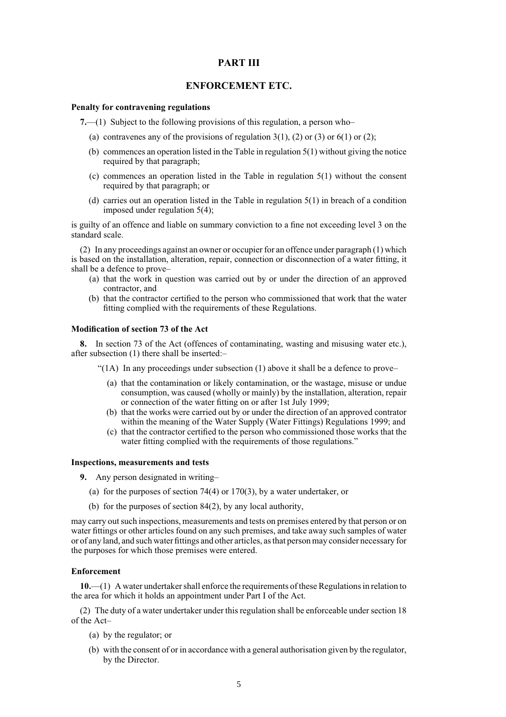## **PART III**

## **ENFORCEMENT ETC.**

#### **Penalty for contravening regulations**

**7.**—(1) Subject to the following provisions of this regulation, a person who–

- (a) contravenes any of the provisions of regulation  $3(1)$ , (2) or (3) or  $6(1)$  or (2);
- (b) commences an operation listed in the Table in regulation 5(1) without giving the notice required by that paragraph;
- (c) commences an operation listed in the Table in regulation 5(1) without the consent required by that paragraph; or
- (d) carries out an operation listed in the Table in regulation  $5(1)$  in breach of a condition imposed under regulation 5(4);

is guilty of an offence and liable on summary conviction to a fine not exceeding level 3 on the standard scale.

(2) In any proceedings against an owner or occupier for an offence under paragraph (1) which is based on the installation, alteration, repair, connection or disconnection of a water fitting, it shall be a defence to prove–

- (a) that the work in question was carried out by or under the direction of an approved contractor, and
- (b) that the contractor certified to the person who commissioned that work that the water fitting complied with the requirements of these Regulations.

#### **Modification of section 73 of the Act**

**8.** In section 73 of the Act (offences of contaminating, wasting and misusing water etc.), after subsection (1) there shall be inserted:–

- "(1A) In any proceedings under subsection (1) above it shall be a defence to prove–
	- (a) that the contamination or likely contamination, or the wastage, misuse or undue consumption, was caused (wholly or mainly) by the installation, alteration, repair or connection of the water fitting on or after 1st July 1999;
	- (b) that the works were carried out by or under the direction of an approved contrator within the meaning of the Water Supply (Water Fittings) Regulations 1999; and
	- (c) that the contractor certified to the person who commissioned those works that the water fitting complied with the requirements of those regulations."

#### **Inspections, measurements and tests**

**9.** Any person designated in writing–

- (a) for the purposes of section 74(4) or 170(3), by a water undertaker, or
- (b) for the purposes of section 84(2), by any local authority,

may carry out such inspections, measurements and tests on premises entered by that person or on water fittings or other articles found on any such premises, and take away such samples of water or of any land, and such water fittings and other articles, as that person may consider necessary for the purposes for which those premises were entered.

#### **Enforcement**

**10.**—(1) A water undertaker shall enforce the requirements of these Regulations in relation to the area for which it holds an appointment under Part I of the Act.

(2) The duty of a water undertaker under this regulation shall be enforceable under section 18 of the Act–

- (a) by the regulator; or
- (b) with the consent of or in accordance with a general authorisation given by the regulator, by the Director.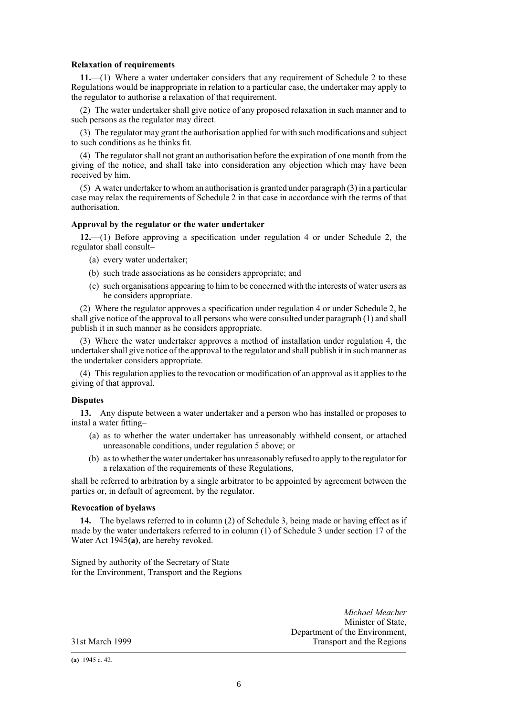#### **Relaxation of requirements**

**11.**—(1) Where a water undertaker considers that any requirement of Schedule 2 to these Regulations would be inappropriate in relation to a particular case, the undertaker may apply to the regulator to authorise a relaxation of that requirement.

(2) The water undertaker shall give notice of any proposed relaxation in such manner and to such persons as the regulator may direct.

(3) The regulator may grant the authorisation applied for with such modifications and subject to such conditions as he thinks fit.

(4) The regulator shall not grant an authorisation before the expiration of one month from the giving of the notice, and shall take into consideration any objection which may have been received by him.

(5) A water undertaker to whom an authorisation is granted under paragraph (3) in a particular case may relax the requirements of Schedule 2 in that case in accordance with the terms of that authorisation.

#### **Approval by the regulator or the water undertaker**

**12.**—(1) Before approving a specification under regulation 4 or under Schedule 2, the regulator shall consult–

- (a) every water undertaker;
- (b) such trade associations as he considers appropriate; and
- (c) such organisations appearing to him to be concerned with the interests of water users as he considers appropriate.

(2) Where the regulator approves a specification under regulation 4 or under Schedule 2, he shall give notice of the approval to all persons who were consulted under paragraph (1) and shall publish it in such manner as he considers appropriate.

(3) Where the water undertaker approves a method of installation under regulation 4, the undertaker shall give notice of the approval to the regulator and shall publish it in such manner as the undertaker considers appropriate.

(4) This regulation applies to the revocation or modification of an approval as it applies to the giving of that approval.

#### **Disputes**

**13.** Any dispute between a water undertaker and a person who has installed or proposes to instal a water fitting–

- (a) as to whether the water undertaker has unreasonably withheld consent, or attached unreasonable conditions, under regulation 5 above; or
- (b) as to whether the water undertaker has unreasonably refused to apply to the regulator for a relaxation of the requirements of these Regulations,

shall be referred to arbitration by a single arbitrator to be appointed by agreement between the parties or, in default of agreement, by the regulator.

#### **Revocation of byelaws**

**14.** The byelaws referred to in column (2) of Schedule 3, being made or having effect as if made by the water undertakers referred to in column (1) of Schedule 3 under section 17 of the Water Act 1945**(a)**, are hereby revoked.

Signed by authority of the Secretary of State for the Environment, Transport and the Regions

*Michael Meacher* Minister of State, Department of the Environment, 31st March 1999 Transport and the Regions

**<sup>(</sup>a)** 1945 c. 42.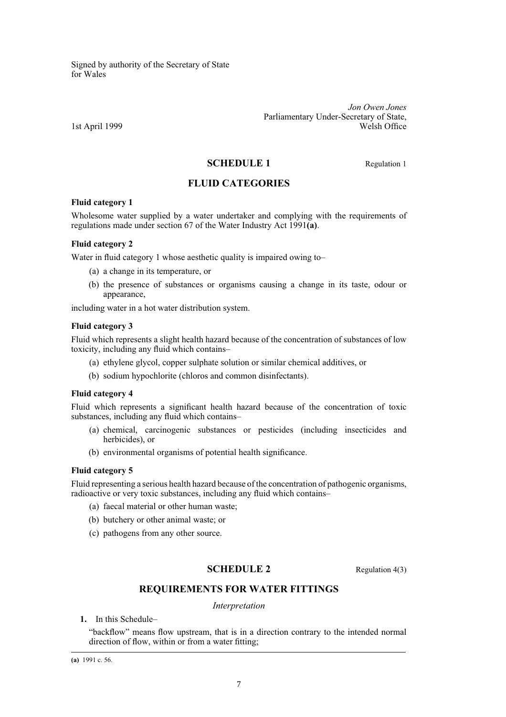Signed by authority of the Secretary of State for Wales

*Jon Owen Jones* Parliamentary Under-Secretary of State, 1st April 1999 Welsh Office

**SCHEDULE 1** Regulation 1

## **FLUID CATEGORIES**

#### **Fluid category 1**

Wholesome water supplied by a water undertaker and complying with the requirements of regulations made under section 67 of the Water Industry Act 1991**(a)**.

#### **Fluid category 2**

Water in fluid category 1 whose aesthetic quality is impaired owing to-

- (a) a change in its temperature, or
- (b) the presence of substances or organisms causing a change in its taste, odour or appearance,

including water in a hot water distribution system.

#### **Fluid category 3**

Fluid which represents a slight health hazard because of the concentration of substances of low toxicity, including any fluid which contains–

- (a) ethylene glycol, copper sulphate solution or similar chemical additives, or
- (b) sodium hypochlorite (chloros and common disinfectants).

#### **Fluid category 4**

Fluid which represents a significant health hazard because of the concentration of toxic substances, including any fluid which contains–

- (a) chemical, carcinogenic substances or pesticides (including insecticides and herbicides), or
- (b) environmental organisms of potential health significance.

#### **Fluid category 5**

Fluid representing a serious health hazard because of the concentration of pathogenic organisms, radioactive or very toxic substances, including any fluid which contains–

- (a) faecal material or other human waste;
- (b) butchery or other animal waste; or
- (c) pathogens from any other source.

## **SCHEDULE 2** Regulation 4(3)

## **REQUIREMENTS FOR WATER FITTINGS**

#### *Interpretation*

**1.** In this Schedule–

"backflow" means flow upstream, that is in a direction contrary to the intended normal direction of flow, within or from a water fitting;

**(a)** 1991 c. 56.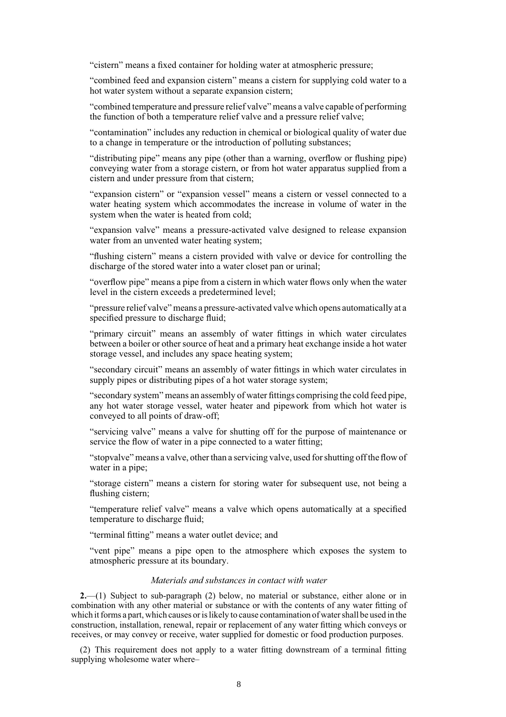"cistern" means a fixed container for holding water at atmospheric pressure;

"combined feed and expansion cistern" means a cistern for supplying cold water to a hot water system without a separate expansion cistern;

"combined temperature and pressure relief valve" means a valve capable of performing the function of both a temperature relief valve and a pressure relief valve;

"contamination" includes any reduction in chemical or biological quality of water due to a change in temperature or the introduction of polluting substances;

"distributing pipe" means any pipe (other than a warning, overflow or flushing pipe) conveying water from a storage cistern, or from hot water apparatus supplied from a cistern and under pressure from that cistern;

"expansion cistern" or "expansion vessel" means a cistern or vessel connected to a water heating system which accommodates the increase in volume of water in the system when the water is heated from cold;

"expansion valve" means a pressure-activated valve designed to release expansion water from an unvented water heating system:

"flushing cistern" means a cistern provided with valve or device for controlling the discharge of the stored water into a water closet pan or urinal;

"overflow pipe" means a pipe from a cistern in which water flows only when the water level in the cistern exceeds a predetermined level;

"pressure relief valve" means a pressure-activated valve which opens automatically at a specified pressure to discharge fluid;

"primary circuit" means an assembly of water fittings in which water circulates between a boiler or other source of heat and a primary heat exchange inside a hot water storage vessel, and includes any space heating system;

"secondary circuit" means an assembly of water fittings in which water circulates in supply pipes or distributing pipes of a hot water storage system;

"secondary system" means an assembly of water fittings comprising the cold feed pipe, any hot water storage vessel, water heater and pipework from which hot water is conveyed to all points of draw-off;

"servicing valve" means a valve for shutting off for the purpose of maintenance or service the flow of water in a pipe connected to a water fitting;

"stopvalve" means a valve, other than a servicing valve, used for shutting off the flow of water in a pipe;

"storage cistern" means a cistern for storing water for subsequent use, not being a flushing cistern;

"temperature relief valve" means a valve which opens automatically at a specified temperature to discharge fluid;

"terminal fitting" means a water outlet device; and

"vent pipe" means a pipe open to the atmosphere which exposes the system to atmospheric pressure at its boundary.

#### *Materials and substances in contact with water*

**2.**—(1) Subject to sub-paragraph (2) below, no material or substance, either alone or in combination with any other material or substance or with the contents of any water fitting of which it forms a part, which causes or is likely to cause contamination of water shall be used in the construction, installation, renewal, repair or replacement of any water fitting which conveys or receives, or may convey or receive, water supplied for domestic or food production purposes.

(2) This requirement does not apply to a water fitting downstream of a terminal fitting supplying wholesome water where–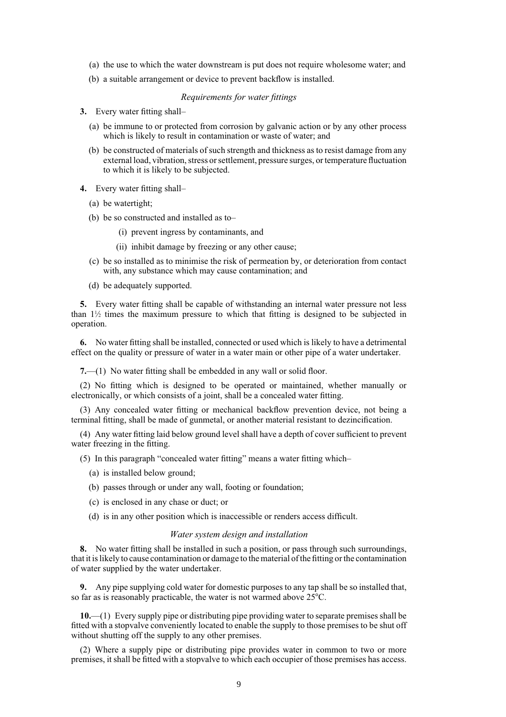- (a) the use to which the water downstream is put does not require wholesome water; and
- (b) a suitable arrangement or device to prevent backflow is installed.

#### *Requirements for water fittings*

- **3.** Every water fitting shall–
	- (a) be immune to or protected from corrosion by galvanic action or by any other process which is likely to result in contamination or waste of water; and
	- (b) be constructed of materials of such strength and thickness as to resist damage from any external load, vibration, stress or settlement, pressure surges, or temperature fluctuation to which it is likely to be subjected.
- **4.** Every water fitting shall–
	- (a) be watertight;
	- (b) be so constructed and installed as to–
		- (i) prevent ingress by contaminants, and
		- (ii) inhibit damage by freezing or any other cause;
	- (c) be so installed as to minimise the risk of permeation by, or deterioration from contact with, any substance which may cause contamination; and
	- (d) be adequately supported.

**5.** Every water fitting shall be capable of withstanding an internal water pressure not less than  $1\frac{1}{2}$  times the maximum pressure to which that fitting is designed to be subjected in operation.

**6.** No water fitting shall be installed, connected or used which is likely to have a detrimental effect on the quality or pressure of water in a water main or other pipe of a water undertaker.

**7.**—(1) No water fitting shall be embedded in any wall or solid floor.

(2) No fitting which is designed to be operated or maintained, whether manually or electronically, or which consists of a joint, shall be a concealed water fitting.

(3) Any concealed water fitting or mechanical backflow prevention device, not being a terminal fitting, shall be made of gunmetal, or another material resistant to dezincification.

(4) Any water fitting laid below ground level shall have a depth of cover sufficient to prevent water freezing in the fitting.

(5) In this paragraph "concealed water fitting" means a water fitting which–

- (a) is installed below ground;
- (b) passes through or under any wall, footing or foundation;
- (c) is enclosed in any chase or duct; or
- (d) is in any other position which is inaccessible or renders access difficult.

#### *Water system design and installation*

**8.** No water fitting shall be installed in such a position, or pass through such surroundings, that it is likely to cause contamination or damage to the material of the fitting or the contamination of water supplied by the water undertaker.

**9.** Any pipe supplying cold water for domestic purposes to any tap shall be so installed that, so far as is reasonably practicable, the water is not warmed above  $25^{\circ}$ C.

**10.**—(1) Every supply pipe or distributing pipe providing water to separate premises shall be fitted with a stopvalve conveniently located to enable the supply to those premises to be shut off without shutting off the supply to any other premises.

(2) Where a supply pipe or distributing pipe provides water in common to two or more premises, it shall be fitted with a stopvalve to which each occupier of those premises has access.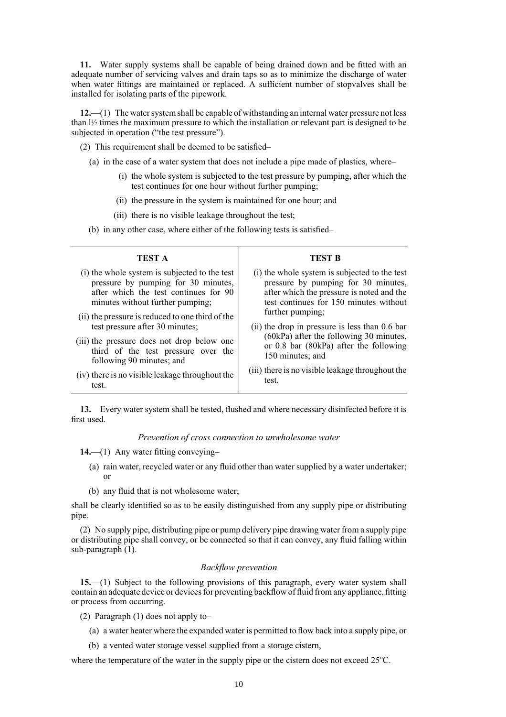**11.** Water supply systems shall be capable of being drained down and be fitted with an adequate number of servicing valves and drain taps so as to minimize the discharge of water when water fittings are maintained or replaced. A sufficient number of stopvalves shall be installed for isolating parts of the pipework.

**12.**—(1) The water system shall be capable of withstanding an internal water pressure not less than  $1/2$  times the maximum pressure to which the installation or relevant part is designed to be subjected in operation ("the test pressure").

- (2) This requirement shall be deemed to be satisfied–
	- (a) in the case of a water system that does not include a pipe made of plastics, where–
		- (i) the whole system is subjected to the test pressure by pumping, after which the test continues for one hour without further pumping;
		- (ii) the pressure in the system is maintained for one hour; and
		- (iii) there is no visible leakage throughout the test;
	- (b) in any other case, where either of the following tests is satisfied–

| <b>TEST A</b>                                    | <b>TEST B</b>                                    |
|--------------------------------------------------|--------------------------------------------------|
| (i) the whole system is subjected to the test    | (i) the whole system is subjected to the test    |
| pressure by pumping for 30 minutes,              | pressure by pumping for 30 minutes,              |
| after which the test continues for 90            | after which the pressure is noted and the        |
| minutes without further pumping;                 | test continues for 150 minutes without           |
| (ii) the pressure is reduced to one third of the | further pumping;                                 |
| test pressure after 30 minutes;                  | (ii) the drop in pressure is less than 0.6 bar   |
| (iii) the pressure does not drop below one       | (60kPa) after the following 30 minutes,          |
| third of the test pressure over the              | or 0.8 bar (80kPa) after the following           |
| following 90 minutes; and                        | 150 minutes; and                                 |
| (iv) there is no visible leakage throughout the  | (iii) there is no visible leakage throughout the |
| test.                                            | test.                                            |

**13.** Every water system shall be tested, flushed and where necessary disinfected before it is first used.

#### *Prevention of cross connection to unwholesome water*

**14.**—(1) Any water fitting conveying–

- (a) rain water, recycled water or any fluid other than water supplied by a water undertaker; or
- (b) any fluid that is not wholesome water;

shall be clearly identified so as to be easily distinguished from any supply pipe or distributing pipe.

(2) No supply pipe, distributing pipe or pump delivery pipe drawing water from a supply pipe or distributing pipe shall convey, or be connected so that it can convey, any fluid falling within sub-paragraph (1).

#### *Backflow prevention*

**15.**—(1) Subject to the following provisions of this paragraph, every water system shall contain an adequate device or devices for preventing backflow of fluid from any appliance, fitting or process from occurring.

(2) Paragraph (1) does not apply to–

- (a) a water heater where the expanded water is permitted to flow back into a supply pipe, or
- (b) a vented water storage vessel supplied from a storage cistern,

where the temperature of the water in the supply pipe or the cistern does not exceed  $25^{\circ}$ C.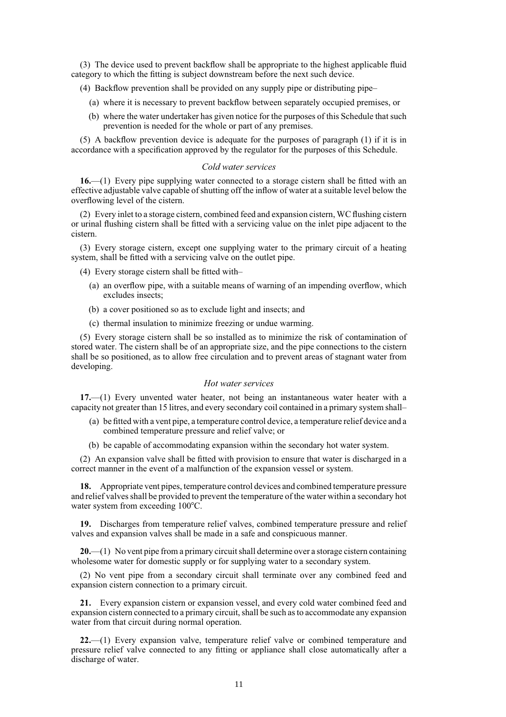(3) The device used to prevent backflow shall be appropriate to the highest applicable fluid category to which the fitting is subject downstream before the next such device.

(4) Backflow prevention shall be provided on any supply pipe or distributing pipe–

- (a) where it is necessary to prevent backflow between separately occupied premises, or
- (b) where the water undertaker has given notice for the purposes of this Schedule that such prevention is needed for the whole or part of any premises.

(5) A backflow prevention device is adequate for the purposes of paragraph (1) if it is in accordance with a specification approved by the regulator for the purposes of this Schedule.

#### *Cold water services*

**16.**—(1) Every pipe supplying water connected to a storage cistern shall be fitted with an effective adjustable valve capable of shutting off the inflow of water at a suitable level below the overflowing level of the cistern.

(2) Every inlet to a storage cistern, combined feed and expansion cistern, WC flushing cistern or urinal flushing cistern shall be fitted with a servicing value on the inlet pipe adjacent to the cistern.

(3) Every storage cistern, except one supplying water to the primary circuit of a heating system, shall be fitted with a servicing valve on the outlet pipe.

(4) Every storage cistern shall be fitted with–

- (a) an overflow pipe, with a suitable means of warning of an impending overflow, which excludes insects;
- (b) a cover positioned so as to exclude light and insects; and
- (c) thermal insulation to minimize freezing or undue warming.

(5) Every storage cistern shall be so installed as to minimize the risk of contamination of stored water. The cistern shall be of an appropriate size, and the pipe connections to the cistern shall be so positioned, as to allow free circulation and to prevent areas of stagnant water from developing.

#### *Hot water services*

**17.**—(1) Every unvented water heater, not being an instantaneous water heater with a capacity not greater than 15 litres, and every secondary coil contained in a primary system shall–

- (a) be fitted with a vent pipe, a temperature control device, a temperature relief device and a combined temperature pressure and relief valve; or
- (b) be capable of accommodating expansion within the secondary hot water system.

(2) An expansion valve shall be fitted with provision to ensure that water is discharged in a correct manner in the event of a malfunction of the expansion vessel or system.

**18.** Appropriate vent pipes, temperature control devices and combined temperature pressure and relief valves shall be provided to prevent the temperature of the water within a secondary hot water system from exceeding 100°C.

**19.** Discharges from temperature relief valves, combined temperature pressure and relief valves and expansion valves shall be made in a safe and conspicuous manner.

**20.**—(1) No vent pipe from a primary circuit shall determine over a storage cistern containing wholesome water for domestic supply or for supplying water to a secondary system.

(2) No vent pipe from a secondary circuit shall terminate over any combined feed and expansion cistern connection to a primary circuit.

**21.** Every expansion cistern or expansion vessel, and every cold water combined feed and expansion cistern connected to a primary circuit, shall be such as to accommodate any expansion water from that circuit during normal operation.

**22.**—(1) Every expansion valve, temperature relief valve or combined temperature and pressure relief valve connected to any fitting or appliance shall close automatically after a discharge of water.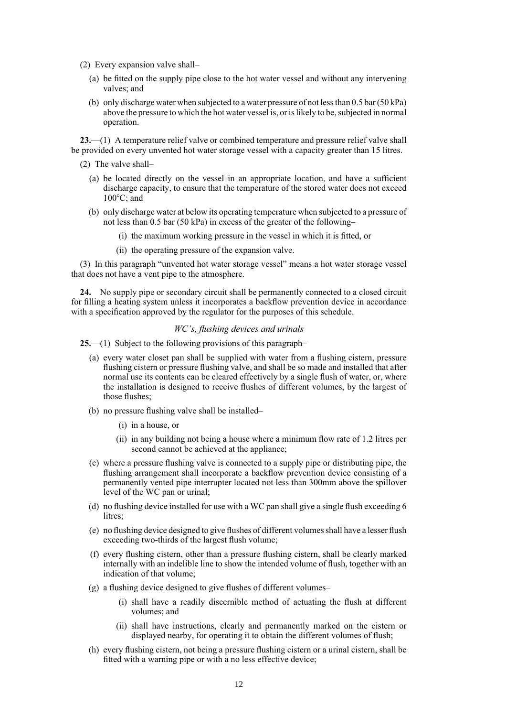- (2) Every expansion valve shall–
	- (a) be fitted on the supply pipe close to the hot water vessel and without any intervening valves; and
	- (b) only discharge water when subjected to a water pressure of not less than 0.5 bar (50 kPa) above the pressure to which the hot water vessel is, or is likely to be, subjected in normal operation.

**23.**—(1) A temperature relief valve or combined temperature and pressure relief valve shall be provided on every unvented hot water storage vessel with a capacity greater than 15 litres.

- (2) The valve shall–
	- (a) be located directly on the vessel in an appropriate location, and have a sufficient discharge capacity, to ensure that the temperature of the stored water does not exceed  $100^{\circ}$ C; and
	- (b) only discharge water at below its operating temperature when subjected to a pressure of not less than 0.5 bar (50 kPa) in excess of the greater of the following–
		- (i) the maximum working pressure in the vessel in which it is fitted, or
		- (ii) the operating pressure of the expansion valve.

(3) In this paragraph "unvented hot water storage vessel" means a hot water storage vessel that does not have a vent pipe to the atmosphere.

**24.** No supply pipe or secondary circuit shall be permanently connected to a closed circuit for filling a heating system unless it incorporates a backflow prevention device in accordance with a specification approved by the regulator for the purposes of this schedule.

#### *WC's, flushing devices and urinals*

**25.**—(1) Subject to the following provisions of this paragraph–

- (a) every water closet pan shall be supplied with water from a flushing cistern, pressure flushing cistern or pressure flushing valve, and shall be so made and installed that after normal use its contents can be cleared effectively by a single flush of water, or, where the installation is designed to receive flushes of different volumes, by the largest of those flushes;
- (b) no pressure flushing valve shall be installed–
	- (i) in a house, or
	- (ii) in any building not being a house where a minimum flow rate of 1.2 litres per second cannot be achieved at the appliance;
- (c) where a pressure flushing valve is connected to a supply pipe or distributing pipe, the flushing arrangement shall incorporate a backflow prevention device consisting of a permanently vented pipe interrupter located not less than 300mm above the spillover level of the WC pan or urinal;
- (d) no flushing device installed for use with a WC pan shall give a single flush exceeding 6 litres;
- (e) no flushing device designed to give flushes of different volumes shall have a lesser flush exceeding two-thirds of the largest flush volume;
- (f) every flushing cistern, other than a pressure flushing cistern, shall be clearly marked internally with an indelible line to show the intended volume of flush, together with an indication of that volume;
- (g) a flushing device designed to give flushes of different volumes–
	- (i) shall have a readily discernible method of actuating the flush at different volumes; and
	- (ii) shall have instructions, clearly and permanently marked on the cistern or displayed nearby, for operating it to obtain the different volumes of flush;
- (h) every flushing cistern, not being a pressure flushing cistern or a urinal cistern, shall be fitted with a warning pipe or with a no less effective device;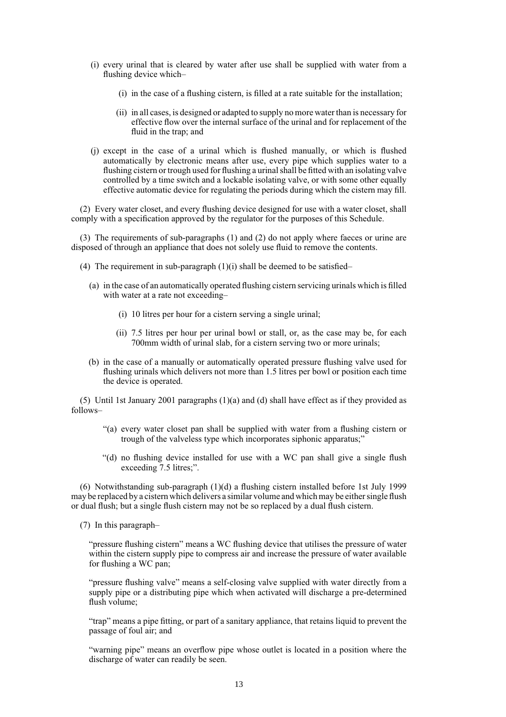- (i) every urinal that is cleared by water after use shall be supplied with water from a flushing device which–
	- (i) in the case of a flushing cistern, is filled at a rate suitable for the installation;
	- (ii) in all cases, is designed or adapted to supply no more water than is necessary for effective flow over the internal surface of the urinal and for replacement of the fluid in the trap; and
- (j) except in the case of a urinal which is flushed manually, or which is flushed automatically by electronic means after use, every pipe which supplies water to a flushing cistern or trough used for flushing a urinal shall be fitted with an isolating valve controlled by a time switch and a lockable isolating valve, or with some other equally effective automatic device for regulating the periods during which the cistern may fill.

(2) Every water closet, and every flushing device designed for use with a water closet, shall comply with a specification approved by the regulator for the purposes of this Schedule.

(3) The requirements of sub-paragraphs (1) and (2) do not apply where faeces or urine are disposed of through an appliance that does not solely use fluid to remove the contents.

- (4) The requirement in sub-paragraph  $(1)(i)$  shall be deemed to be satisfied–
	- (a) in the case of an automatically operated flushing cistern servicing urinals which is filled with water at a rate not exceeding-
		- (i) 10 litres per hour for a cistern serving a single urinal;
		- (ii) 7.5 litres per hour per urinal bowl or stall, or, as the case may be, for each 700mm width of urinal slab, for a cistern serving two or more urinals;
	- (b) in the case of a manually or automatically operated pressure flushing valve used for flushing urinals which delivers not more than 1.5 litres per bowl or position each time the device is operated.

(5) Until 1st January 2001 paragraphs (1)(a) and (d) shall have effect as if they provided as follows–

- "(a) every water closet pan shall be supplied with water from a flushing cistern or trough of the valveless type which incorporates siphonic apparatus;"
- "(d) no flushing device installed for use with a WC pan shall give a single flush exceeding 7.5 litres;".

(6) Notwithstanding sub-paragraph (1)(d) a flushing cistern installed before 1st July 1999 may be replaced by a cistern which delivers a similar volume and which may be either single flush or dual flush; but a single flush cistern may not be so replaced by a dual flush cistern.

(7) In this paragraph–

"pressure flushing cistern" means a WC flushing device that utilises the pressure of water within the cistern supply pipe to compress air and increase the pressure of water available for flushing a WC pan;

"pressure flushing valve" means a self-closing valve supplied with water directly from a supply pipe or a distributing pipe which when activated will discharge a pre-determined flush volume;

"trap" means a pipe fitting, or part of a sanitary appliance, that retains liquid to prevent the passage of foul air; and

"warning pipe" means an overflow pipe whose outlet is located in a position where the discharge of water can readily be seen.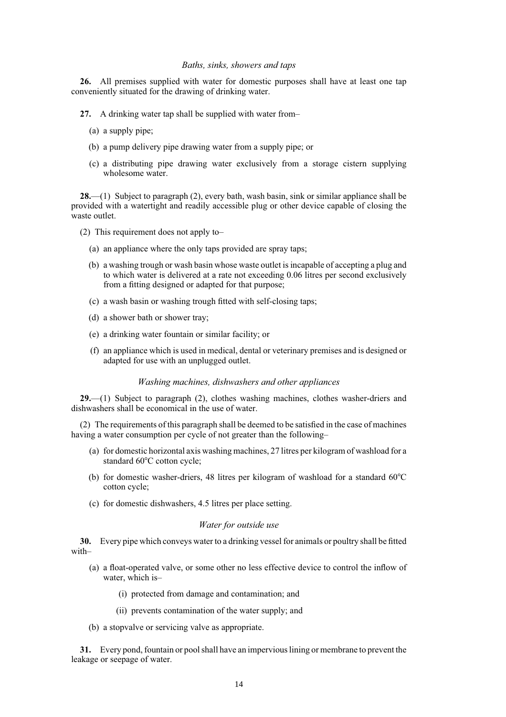#### *Baths, sinks, showers and taps*

**26.** All premises supplied with water for domestic purposes shall have at least one tap conveniently situated for the drawing of drinking water.

**27.** A drinking water tap shall be supplied with water from–

- (a) a supply pipe;
- (b) a pump delivery pipe drawing water from a supply pipe; or
- (c) a distributing pipe drawing water exclusively from a storage cistern supplying wholesome water.

**28.**—(1) Subject to paragraph (2), every bath, wash basin, sink or similar appliance shall be provided with a watertight and readily accessible plug or other device capable of closing the waste outlet.

- (2) This requirement does not apply to–
	- (a) an appliance where the only taps provided are spray taps;
	- (b) a washing trough or wash basin whose waste outlet is incapable of accepting a plug and to which water is delivered at a rate not exceeding 0.06 litres per second exclusively from a fitting designed or adapted for that purpose;
	- (c) a wash basin or washing trough fitted with self-closing taps;
	- (d) a shower bath or shower tray;
	- (e) a drinking water fountain or similar facility; or
	- (f) an appliance which is used in medical, dental or veterinary premises and is designed or adapted for use with an unplugged outlet.

#### *Washing machines, dishwashers and other appliances*

**29.**—(1) Subject to paragraph (2), clothes washing machines, clothes washer-driers and dishwashers shall be economical in the use of water.

(2) The requirements of this paragraph shall be deemed to be satisfied in the case of machines having a water consumption per cycle of not greater than the following–

- (a) for domestic horizontal axis washing machines, 27 litres per kilogram of washload for a standard 60°C cotton cycle;
- (b) for domestic washer-driers, 48 litres per kilogram of washload for a standard 60°C cotton cycle;
- (c) for domestic dishwashers, 4.5 litres per place setting.

#### *Water for outside use*

**30.** Every pipe which conveys water to a drinking vessel for animals or poultry shall be fitted with–

- (a) a float-operated valve, or some other no less effective device to control the inflow of water, which is–
	- (i) protected from damage and contamination; and
	- (ii) prevents contamination of the water supply; and
- (b) a stopvalve or servicing valve as appropriate.

**31.** Every pond, fountain or pool shall have an impervious lining or membrane to prevent the leakage or seepage of water.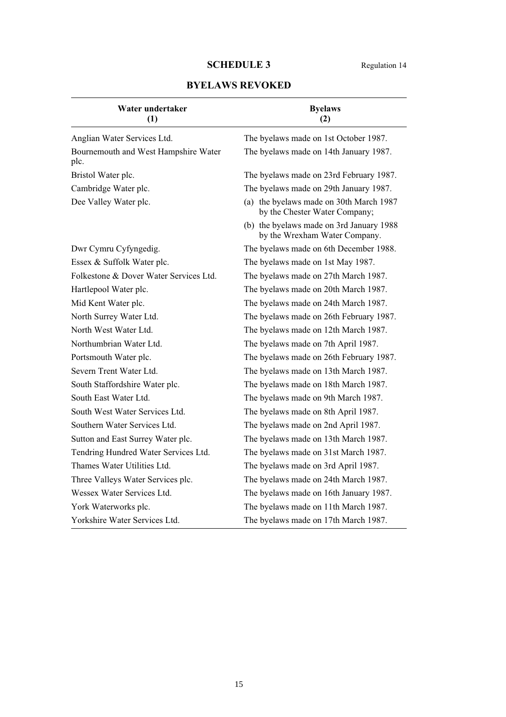# **SCHEDULE 3** Regulation 14

| Water undertaker<br>(1)                      | <b>Byelaws</b><br>(2)                                                     |
|----------------------------------------------|---------------------------------------------------------------------------|
| Anglian Water Services Ltd.                  | The byelaws made on 1st October 1987.                                     |
| Bournemouth and West Hampshire Water<br>plc. | The byelaws made on 14th January 1987.                                    |
| Bristol Water plc.                           | The byelaws made on 23rd February 1987.                                   |
| Cambridge Water plc.                         | The byelaws made on 29th January 1987.                                    |
| Dee Valley Water plc.                        | (a) the byelaws made on 30th March 1987<br>by the Chester Water Company;  |
|                                              | (b) the byelaws made on 3rd January 1988<br>by the Wrexham Water Company. |
| Dwr Cymru Cyfyngedig.                        | The byelaws made on 6th December 1988.                                    |
| Essex & Suffolk Water plc.                   | The byelaws made on 1st May 1987.                                         |
| Folkestone & Dover Water Services Ltd.       | The byelaws made on 27th March 1987.                                      |
| Hartlepool Water plc.                        | The byelaws made on 20th March 1987.                                      |
| Mid Kent Water plc.                          | The byelaws made on 24th March 1987.                                      |
| North Surrey Water Ltd.                      | The byelaws made on 26th February 1987.                                   |
| North West Water Ltd.                        | The byelaws made on 12th March 1987.                                      |
| Northumbrian Water Ltd.                      | The byelaws made on 7th April 1987.                                       |
| Portsmouth Water plc.                        | The byelaws made on 26th February 1987.                                   |
| Severn Trent Water Ltd.                      | The byelaws made on 13th March 1987.                                      |
| South Staffordshire Water plc.               | The byelaws made on 18th March 1987.                                      |
| South East Water Ltd.                        | The byelaws made on 9th March 1987.                                       |
| South West Water Services Ltd.               | The byelaws made on 8th April 1987.                                       |
| Southern Water Services Ltd.                 | The byelaws made on 2nd April 1987.                                       |
| Sutton and East Surrey Water plc.            | The byelaws made on 13th March 1987.                                      |
| Tendring Hundred Water Services Ltd.         | The byelaws made on 31st March 1987.                                      |
| Thames Water Utilities Ltd.                  | The byelaws made on 3rd April 1987.                                       |
| Three Valleys Water Services plc.            | The byelaws made on 24th March 1987.                                      |
| Wessex Water Services Ltd.                   | The byelaws made on 16th January 1987.                                    |
| York Waterworks plc.                         | The byelaws made on 11th March 1987.                                      |
| Yorkshire Water Services Ltd.                | The byelaws made on 17th March 1987.                                      |

## **BYELAWS REVOKED**